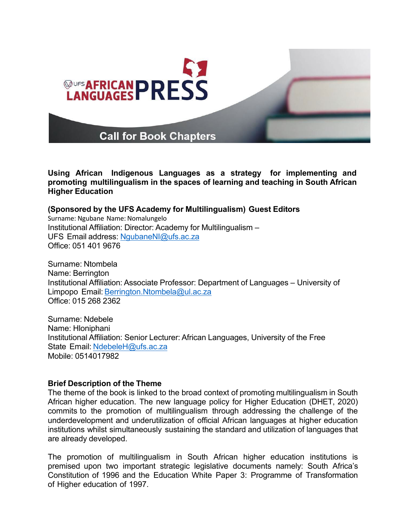

**Using African Indigenous Languages as a strategy for implementing and promoting multilingualism in the spaces of learning and teaching in South African Higher Education**

### **(Sponsored by the UFS Academy for Multilingualism) Guest Editors**

Surname: Ngubane Name: Nomalungelo Institutional Affiliation: Director: Academy for Multilingualism – UFS Email address: [NgubaneNI@ufs.ac.za](mailto:NgubaneNI@ufs.ac.za) Office: 051 401 9676

Surname: Ntombela Name: Berrington Institutional Affiliation: Associate Professor: Department of Languages – University of Limpopo Email: [Berrington.Ntombela@ul.ac.za](mailto:Berrington.Ntombela@ul.ac.za) Office: 015 268 2362

Surname: Ndebele Name: Hloniphani Institutional Affiliation: Senior Lecturer: African Languages, University of the Free State Email: [NdebeleH@ufs.ac.za](mailto:NdebeleH@ufs.ac.za) Mobile: 0514017982

#### **Brief Description of the Theme**

The theme of the book is linked to the broad context of promoting multilingualism in South African higher education. The new language policy for Higher Education (DHET, 2020) commits to the promotion of multilingualism through addressing the challenge of the underdevelopment and underutilization of official African languages at higher education institutions whilst simultaneously sustaining the standard and utilization of languages that are already developed.

The promotion of multilingualism in South African higher education institutions is premised upon two important strategic legislative documents namely: South Africa's Constitution of 1996 and the Education White Paper 3: Programme of Transformation of Higher education of 1997.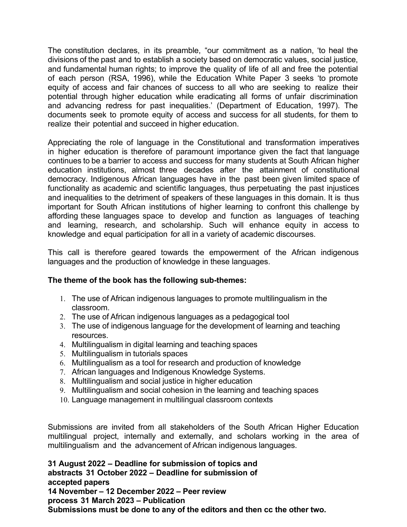The constitution declares, in its preamble, "our commitment as a nation, 'to heal the divisions of the past and to establish a society based on democratic values, social justice, and fundamental human rights; to improve the quality of life of all and free the potential of each person (RSA, 1996), while the Education White Paper 3 seeks 'to promote equity of access and fair chances of success to all who are seeking to realize their potential through higher education while eradicating all forms of unfair discrimination and advancing redress for past inequalities.' (Department of Education, 1997). The documents seek to promote equity of access and success for all students, for them to realize their potential and succeed in higher education.

Appreciating the role of language in the Constitutional and transformation imperatives in higher education is therefore of paramount importance given the fact that language continues to be a barrier to access and success for many students at South African higher education institutions, almost three decades after the attainment of constitutional democracy. Indigenous African languages have in the past been given limited space of functionality as academic and scientific languages, thus perpetuating the past injustices and inequalities to the detriment of speakers of these languages in this domain. It is thus important for South African institutions of higher learning to confront this challenge by affording these languages space to develop and function as languages of teaching and learning, research, and scholarship. Such will enhance equity in access to knowledge and equal participation for all in a variety of academic discourses.

This call is therefore geared towards the empowerment of the African indigenous languages and the production of knowledge in these languages.

### **The theme of the book has the following sub-themes:**

- 1. The use of African indigenous languages to promote multilingualism in the classroom.
- 2. The use of African indigenous languages as a pedagogical tool
- 3. The use of indigenous language for the development of learning and teaching resources.
- 4. Multilingualism in digital learning and teaching spaces
- 5. Multilingualism in tutorials spaces
- 6. Multilingualism as a tool for research and production of knowledge
- 7. African languages and Indigenous Knowledge Systems.
- 8. Multilingualism and social justice in higher education
- 9. Multilingualism and social cohesion in the learning and teaching spaces
- 10. Language management in multilingual classroom contexts

Submissions are invited from all stakeholders of the South African Higher Education multilingual project, internally and externally, and scholars working in the area of multilingualism and the advancement of African indigenous languages.

**31 August 2022 – Deadline for submission of topics and abstracts 31 October 2022 – Deadline for submission of accepted papers 14 November – 12 December 2022 – Peer review process 31 March 2023 – Publication Submissions must be done to any of the editors and then cc the other two.**